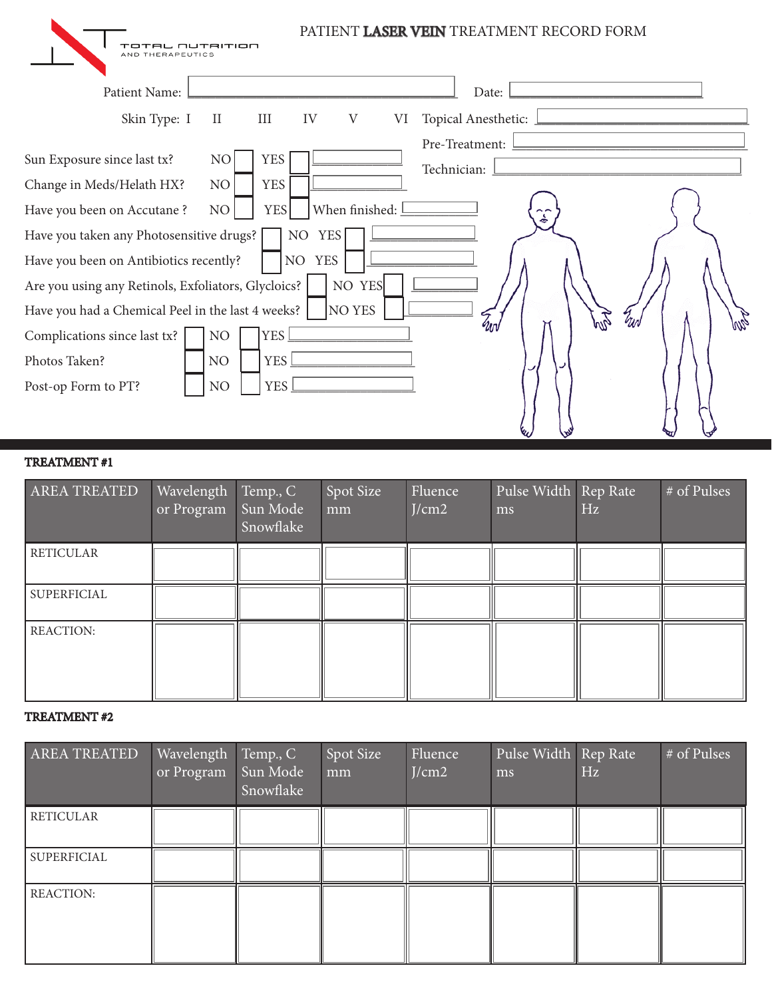| TAL NUTRITION<br>AND THERAPEUTICS                                                  |                                              |                                                   | PATIENT LASER VEIN TREATMENT RECORD FORM |
|------------------------------------------------------------------------------------|----------------------------------------------|---------------------------------------------------|------------------------------------------|
| Patient Name:                                                                      |                                              |                                                   | Date:                                    |
| Skin Type: $\boxed{1}$                                                             | $\overline{\mathbf{H}}$<br>IV<br>$\boxed{1}$ | $\overline{\mathrm{V}}$<br>$\overline{\text{VI}}$ | Topical Anesthetic:                      |
| Sun Exposure since last tx?                                                        | YES <sup> </sup><br>N <sub>O</sub>           |                                                   | Pre-Treatment:<br>Technician:            |
| Change in Meds/Helath HX?                                                          | <b>YES</b><br>NO                             |                                                   |                                          |
| Have you been on Accutane?                                                         | <b>YES</b><br>NO                             | When finished: <u> </u>                           |                                          |
| Have you taken any Photosensitive drugs?<br>Have you been on Antibiotics recently? | NO YES<br>NO                                 | <b>YES</b>                                        |                                          |
| Are you using any Retinols, Exfoliators, Glycloics?                                |                                              | NO YES                                            |                                          |
| Have you had a Chemical Peel in the last 4 weeks?                                  |                                              | $\parallel$ NO YES                                | wz                                       |
| Complications since last tx?                                                       | <b>YES</b><br>NO                             |                                                   | Чm                                       |
| Photos Taken?                                                                      | <b>YES</b><br>NO                             |                                                   |                                          |
| Post-op Form to PT?                                                                | <b>YES</b><br>NΟ                             |                                                   |                                          |

# TREATMENT #1

| <b>AREA TREATED</b> | Wavelength Temp., C<br>or Program | Sun Mode<br>Snowflake | Spot Size<br>mm | Fluence<br>J/cm2 | Pulse Width Rep Rate<br>ms | Hz | # of Pulses |
|---------------------|-----------------------------------|-----------------------|-----------------|------------------|----------------------------|----|-------------|
| <b>RETICULAR</b>    |                                   |                       |                 |                  |                            |    |             |
| SUPERFICIAL         |                                   |                       |                 |                  |                            |    |             |
| <b>REACTION:</b>    |                                   |                       |                 |                  |                            |    |             |

#### TREATMENT #2

| AREA TREATED     | Wavelength Temp., C<br>or Program | Sun Mode<br>Snowflake | Spot Size<br>mm | Fluence<br>J/cm2 | Pulse Width Rep Rate<br>ms | Hz | # of Pulses |
|------------------|-----------------------------------|-----------------------|-----------------|------------------|----------------------------|----|-------------|
| <b>RETICULAR</b> |                                   |                       |                 |                  |                            |    |             |
| SUPERFICIAL      |                                   |                       |                 |                  |                            |    |             |
| <b>REACTION:</b> |                                   |                       |                 |                  |                            |    |             |